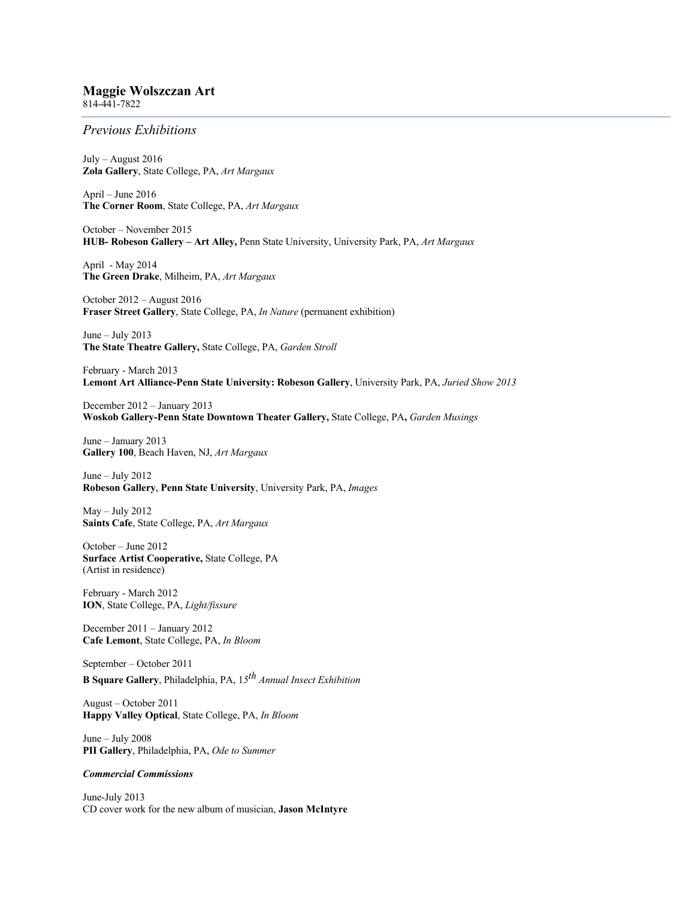## **Maggie Wolszczan Art**

814-441-7822

## *Previous Exhibitions*

July – August 2016 **Zola Gallery**, State College, PA, *Art Margaux*

April – June 2016 **The Corner Room**, State College, PA, *Art Margaux*

October – November 2015 **HUB- Robeson Gallery – Art Alley,** Penn State University, University Park, PA, *Art Margaux*

April - May 2014 **The Green Drake**, Milheim, PA, *Art Margaux*

October 2012 – August 2016 **Fraser Street Gallery**, State College, PA, *In Nature* (permanent exhibition)

June – July 2013 **The State Theatre Gallery,** State College, PA, *Garden Stroll*

February - March 2013 **Lemont Art Alliance-Penn State University: Robeson Gallery**, University Park, PA, *Juried Show 2013*

December 2012 – January 2013 **Woskob Gallery-Penn State Downtown Theater Gallery,** State College, PA**,** *Garden Musings*

June – January 2013 **Gallery 100**, Beach Haven, NJ, *Art Margaux*

June – July 2012 **Robeson Gallery**, **Penn State University**, University Park, PA, *Images*

May – July 2012 **Saints Cafe**, State College, PA, *Art Margaux*

October – June 2012 **Surface Artist Cooperative,** State College, PA (Artist in residence)

February - March 2012 **ION**, State College, PA, *Light/fissure*

December 2011 – January 2012 **Cafe Lemont**, State College, PA, *In Bloom*

September – October 2011 **B Square Gallery**, Philadelphia, PA, 1*5th Annual Insect Exhibition*

August – October 2011 **Happy Valley Optical**, State College, PA, *In Bloom*

June – July 2008 **PII Gallery**, Philadelphia, PA, *Ode to Summer*

## *Commercial Commissions*

June-July 2013 CD cover work for the new album of musician, **Jason McIntyre**